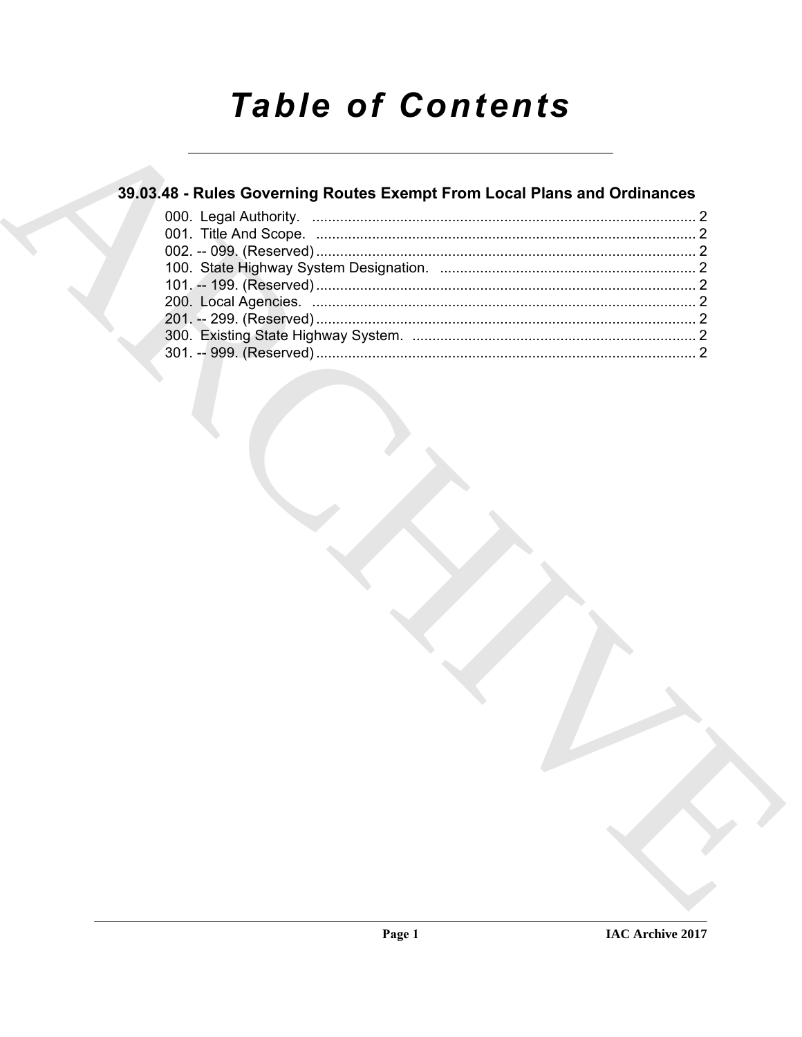# **Table of Contents**

### 39.03.48 - Rules Governing Routes Exempt From Local Plans and Ordinances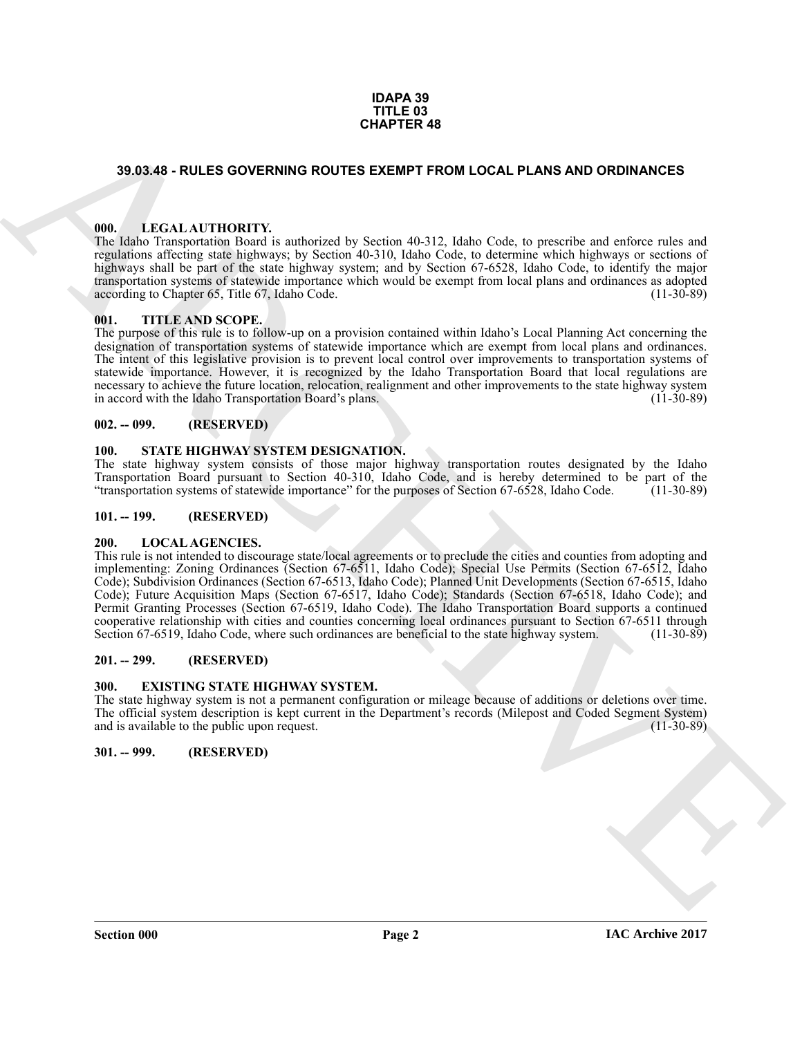#### **IDAPA 39 TITLE 03 CHAPTER 48**

#### <span id="page-1-0"></span>**39.03.48 - RULES GOVERNING ROUTES EXEMPT FROM LOCAL PLANS AND ORDINANCES**

#### <span id="page-1-1"></span>**000. LEGAL AUTHORITY.**

The Idaho Transportation Board is authorized by Section 40-312, Idaho Code, to prescribe and enforce rules and regulations affecting state highways; by Section 40-310, Idaho Code, to determine which highways or sections of highways shall be part of the state highway system; and by Section 67-6528, Idaho Code, to identify the major transportation systems of statewide importance which would be exempt from local plans and ordinances as adopted according to Chapter 65, Title 67, Idaho Code. (11-30-89) according to Chapter 65, Title 67, Idaho Code.

#### <span id="page-1-2"></span>**001. TITLE AND SCOPE.**

The purpose of this rule is to follow-up on a provision contained within Idaho's Local Planning Act concerning the designation of transportation systems of statewide importance which are exempt from local plans and ordinances. The intent of this legislative provision is to prevent local control over improvements to transportation systems of statewide importance. However, it is recognized by the Idaho Transportation Board that local regulations are necessary to achieve the future location, relocation, realignment and other improvements to the state highway system<br>in accord with the Idaho Transportation Board's plans. (11-30-89) in accord with the Idaho Transportation Board's plans.

#### <span id="page-1-3"></span>**002. -- 099. (RESERVED)**

#### <span id="page-1-12"></span><span id="page-1-4"></span>**100. STATE HIGHWAY SYSTEM DESIGNATION.**

The state highway system consists of those major highway transportation routes designated by the Idaho Transportation Board pursuant to Section 40-310, Idaho Code, and is hereby determined to be part of the "transportation systems of statewide importance" for the purposes of Section 67-6528, Idaho Code. (11-30-89)

#### <span id="page-1-5"></span>**101. -- 199. (RESERVED)**

#### <span id="page-1-11"></span><span id="page-1-6"></span>**200. LOCAL AGENCIES.**

**39.03.46 - RULES OOVERINNO ROUTES EXEMPT FROM LOCAL PLANS AND ORDINANCES**<br> **ARCHIVES COVERINNO ROUTES EXEMPT FROM LOCAL PLANS AND ORDINANCES**<br> **ARCHIVES CONFIRMATE:**<br> **ARCHIVES CONFIRMATE:**<br> **ARCHIVES CONFIRMATE:**<br> **ARCH** This rule is not intended to discourage state/local agreements or to preclude the cities and counties from adopting and implementing: Zoning Ordinances (Section 67-6511, Idaho Code); Special Use Permits (Section 67-6512, Idaho Code); Subdivision Ordinances (Section 67-6513, Idaho Code); Planned Unit Developments (Section 67-6515, Idaho Code); Future Acquisition Maps (Section 67-6517, Idaho Code); Standards (Section 67-6518, Idaho Code); and Permit Granting Processes (Section 67-6519, Idaho Code). The Idaho Transportation Board supports a continued cooperative relationship with cities and counties concerning local ordinances pursuant to Section 67-6511 through Section 67-6519, Idaho Code, where such ordinances are beneficial to the state highway system. (11-30-89)

#### <span id="page-1-7"></span>**201. -- 299. (RESERVED)**

#### <span id="page-1-10"></span><span id="page-1-8"></span>**300. EXISTING STATE HIGHWAY SYSTEM.**

The state highway system is not a permanent configuration or mileage because of additions or deletions over time. The official system description is kept current in the Department's records (Milepost and Coded Segment System) and is available to the public upon request. and is available to the public upon request.

#### <span id="page-1-9"></span>**301. -- 999. (RESERVED)**